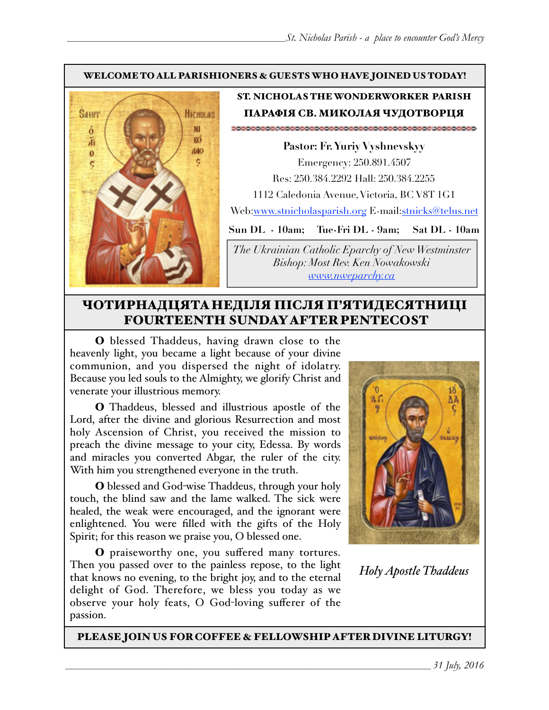#### WELCOME TO ALL PARISHIONERS & GUESTS WHO HAVE JOINED US TODAY!



## ST. NICHOLAS THE WONDERWORKER PARISH ПАРАФІЯ СВ. МИКОЛАЯ ЧУДОТВОРЦЯ

**Pastor: Fr. Yuriy Vyshnevskyy** Emergency: 250.891.4507 Res: 250.384.2292 Hall: 250.384.2255 1112 Caledonia Avenue, Victoria, BC V8T 1G1 Web:[www.stnicholasparish.org](http://www.stnicholasparish.org) E-mail[:stnicks@telus.net](mailto:stnicks@telus.net)

**Sun DL - 10am; Tue-Fri DL - 9am; Sat DL - 10am**

*The Ukrainian Catholic Eparchy of New Westminster Bishop: Most Rev. Ken Nowakowski [www.nweparchy.ca](http://www.nweparchy.ca)*

# ЧОТИРНАДЦЯТАНЕДІЛЯ ПІСЛЯ П'ЯТИДЕСЯТНИЦІ FOURTEENTH SUNDAY AFTER PENTECOST

O blessed Thaddeus, having drawn close to the heavenly light, you became a light because of your divine communion, and you dispersed the night of idolatry. Because you led souls to the Almighty, we glorify Christ and venerate your illustrious memory.

O Thaddeus, blessed and illustrious apostle of the Lord, after the divine and glorious Resurrection and most holy Ascension of Christ, you received the mission to preach the divine message to your city, Edessa. By words and miracles you converted Abgar, the ruler of the city. With him you strengthened everyone in the truth.

O blessed and God-wise Thaddeus, through your holy touch, the blind saw and the lame walked. The sick were healed, the weak were encouraged, and the ignorant were enlightened. You were filled with the gifts of the Holy Spirit; for this reason we praise you, O blessed one.

O praiseworthy one, you suffered many tortures. Then you passed over to the painless repose, to the light that knows no evening, to the bright joy, and to the eternal delight of God. Therefore, we bless you today as we observe your holy feats, O God-loving sufferer of the passion.



*Holy Apostle Thaddeus*

PLEASE JOIN US FOR COFFEE & FELLOWSHIP AFTER DIVINE LITURGY!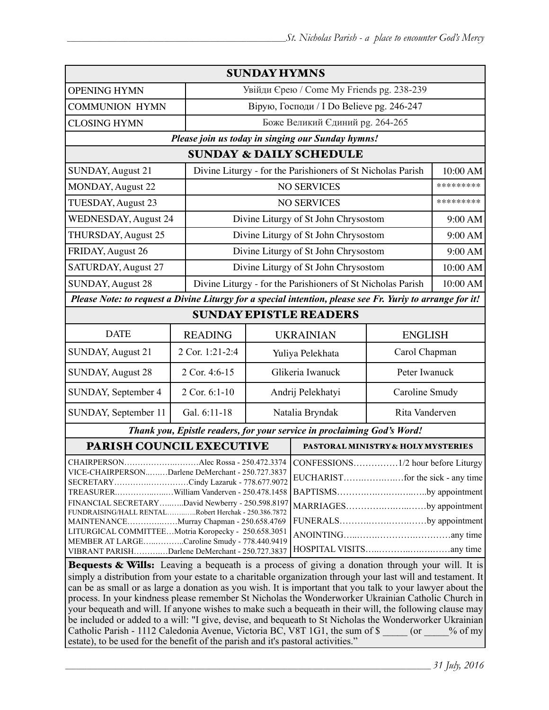| <b>SUNDAY HYMNS</b>                                                                                                                                                                                                                                                                                                                                                                                                                                                                                                                                                                                                                                                                           |                 |                                           |                                    |                |                |  |
|-----------------------------------------------------------------------------------------------------------------------------------------------------------------------------------------------------------------------------------------------------------------------------------------------------------------------------------------------------------------------------------------------------------------------------------------------------------------------------------------------------------------------------------------------------------------------------------------------------------------------------------------------------------------------------------------------|-----------------|-------------------------------------------|------------------------------------|----------------|----------------|--|
| <b>OPENING HYMN</b>                                                                                                                                                                                                                                                                                                                                                                                                                                                                                                                                                                                                                                                                           |                 | Увійди Єрею / Come My Friends pg. 238-239 |                                    |                |                |  |
| <b>COMMUNION HYMN</b>                                                                                                                                                                                                                                                                                                                                                                                                                                                                                                                                                                                                                                                                         |                 | Вірую, Господи / I Do Believe pg. 246-247 |                                    |                |                |  |
| <b>CLOSING HYMN</b>                                                                                                                                                                                                                                                                                                                                                                                                                                                                                                                                                                                                                                                                           |                 | Боже Великий Єдиний рg. 264-265           |                                    |                |                |  |
| Please join us today in singing our Sunday hymns!                                                                                                                                                                                                                                                                                                                                                                                                                                                                                                                                                                                                                                             |                 |                                           |                                    |                |                |  |
| <b>SUNDAY &amp; DAILY SCHEDULE</b>                                                                                                                                                                                                                                                                                                                                                                                                                                                                                                                                                                                                                                                            |                 |                                           |                                    |                |                |  |
| <b>SUNDAY, August 21</b><br>Divine Liturgy - for the Parishioners of St Nicholas Parish                                                                                                                                                                                                                                                                                                                                                                                                                                                                                                                                                                                                       |                 |                                           |                                    |                | 10:00 AM       |  |
| <b>MONDAY, August 22</b>                                                                                                                                                                                                                                                                                                                                                                                                                                                                                                                                                                                                                                                                      |                 |                                           | <b>NO SERVICES</b>                 |                | *********      |  |
| TUESDAY, August 23                                                                                                                                                                                                                                                                                                                                                                                                                                                                                                                                                                                                                                                                            |                 | <b>NO SERVICES</b>                        |                                    |                | *********      |  |
| <b>WEDNESDAY, August 24</b>                                                                                                                                                                                                                                                                                                                                                                                                                                                                                                                                                                                                                                                                   |                 | Divine Liturgy of St John Chrysostom      |                                    |                | 9:00 AM        |  |
| THURSDAY, August 25                                                                                                                                                                                                                                                                                                                                                                                                                                                                                                                                                                                                                                                                           |                 | Divine Liturgy of St John Chrysostom      |                                    |                | 9:00 AM        |  |
| FRIDAY, August 26                                                                                                                                                                                                                                                                                                                                                                                                                                                                                                                                                                                                                                                                             |                 | Divine Liturgy of St John Chrysostom      |                                    |                | 9:00 AM        |  |
| <b>SATURDAY, August 27</b>                                                                                                                                                                                                                                                                                                                                                                                                                                                                                                                                                                                                                                                                    |                 | Divine Liturgy of St John Chrysostom      |                                    |                | 10:00 AM       |  |
| <b>SUNDAY, August 28</b><br>Divine Liturgy - for the Parishioners of St Nicholas Parish                                                                                                                                                                                                                                                                                                                                                                                                                                                                                                                                                                                                       |                 |                                           |                                    | 10:00 AM       |                |  |
| Please Note: to request a Divine Liturgy for a special intention, please see Fr. Yuriy to arrange for it!                                                                                                                                                                                                                                                                                                                                                                                                                                                                                                                                                                                     |                 |                                           |                                    |                |                |  |
| <b>SUNDAY EPISTLE READERS</b>                                                                                                                                                                                                                                                                                                                                                                                                                                                                                                                                                                                                                                                                 |                 |                                           |                                    |                |                |  |
| <b>DATE</b>                                                                                                                                                                                                                                                                                                                                                                                                                                                                                                                                                                                                                                                                                   | <b>READING</b>  | <b>UKRAINIAN</b>                          |                                    | <b>ENGLISH</b> |                |  |
| SUNDAY, August 21                                                                                                                                                                                                                                                                                                                                                                                                                                                                                                                                                                                                                                                                             | 2 Cor. 1:21-2:4 | Yuliya Pelekhata                          |                                    | Carol Chapman  |                |  |
| <b>SUNDAY, August 28</b>                                                                                                                                                                                                                                                                                                                                                                                                                                                                                                                                                                                                                                                                      | 2 Cor. 4:6-15   | Glikeria Iwanuck                          |                                    | Peter Iwanuck  |                |  |
| SUNDAY, September 4                                                                                                                                                                                                                                                                                                                                                                                                                                                                                                                                                                                                                                                                           | 2 Cor. 6:1-10   | Andrij Pelekhatyi                         |                                    | Caroline Smudy |                |  |
| SUNDAY, September 11                                                                                                                                                                                                                                                                                                                                                                                                                                                                                                                                                                                                                                                                          | Gal. 6:11-18    | Natalia Bryndak                           |                                    |                | Rita Vanderven |  |
| Thank you, Epistle readers, for your service in proclaiming God's Word!                                                                                                                                                                                                                                                                                                                                                                                                                                                                                                                                                                                                                       |                 |                                           |                                    |                |                |  |
| PARISH COUNCIL EXECUTIVE                                                                                                                                                                                                                                                                                                                                                                                                                                                                                                                                                                                                                                                                      |                 |                                           | PASTORAL MINISTRY & HOLY MYSTERIES |                |                |  |
| $\ldots \ldots \ldots 1/2$ hour before Liturgy<br>VICE-CHAIRPERSONDarlene DeMerchant - 250.727.3837<br>SECRETARYCindy Lazaruk - 778.677.9072<br>BAPTISMSby appointment<br>TREASURERWilliam Vanderven - 250.478.1458<br>FINANCIAL SECRETARYDavid Newberry - 250.598.8197<br>MARRIAGESby appointment<br>FUNDRAISING/HALL RENTALRobert Herchak - 250.386.7872<br>FUNERALSby appointment<br>MAINTENANCEMurray Chapman - 250.658.4769<br>LITURGICAL COMMITTEEMotria Koropecky - 250.658.3051<br>MEMBER AT LARGECaroline Smudy - 778.440.9419<br>VIBRANT PARISHDarlene DeMerchant - 250.727.3837<br>Bequests & Wills: Leaving a bequeath is a process of giving a donation through your will. It is |                 |                                           |                                    |                |                |  |
| simply a distribution from your estate to a charitable organization through your last will and testament. It<br>can be as small or as large a donation as you wish. It is important that you talk to your lawyer about the                                                                                                                                                                                                                                                                                                                                                                                                                                                                    |                 |                                           |                                    |                |                |  |

process. In your kindness please remember St Nicholas the Wonderworker Ukrainian Catholic Church in your bequeath and will. If anyone wishes to make such a bequeath in their will, the following clause may be included or added to a will: "I give, devise, and bequeath to St Nicholas the Wonderworker Ukrainian Catholic Parish - 1112 Caledonia Avenue, Victoria BC, V8T 1G1, the sum of \$ \_\_\_\_\_ (or \_\_\_\_% of my estate), to be used for the benefit of the parish and it's pastoral activities."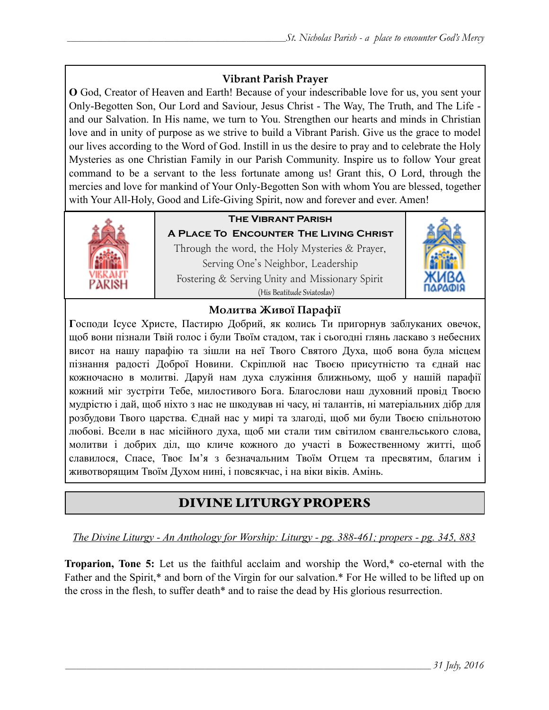## **Vibrant Parish Prayer**

**O** God, Creator of Heaven and Earth! Because of your indescribable love for us, you sent your Only-Begotten Son, Our Lord and Saviour, Jesus Christ - The Way, The Truth, and The Life and our Salvation. In His name, we turn to You. Strengthen our hearts and minds in Christian love and in unity of purpose as we strive to build a Vibrant Parish. Give us the grace to model our lives according to the Word of God. Instill in us the desire to pray and to celebrate the Holy Mysteries as one Christian Family in our Parish Community. Inspire us to follow Your great command to be a servant to the less fortunate among us! Grant this, O Lord, through the mercies and love for mankind of Your Only-Begotten Son with whom You are blessed, together with Your All-Holy, Good and Life-Giving Spirit, now and forever and ever. Amen!



# **The Vibrant Parish**

**A Place To Encounter The Living Christ** Through the word, the Holy Mysteries & Prayer, Serving One's Neighbor, Leadership Fostering & Serving Unity and Missionary Spirit (His Beatitude Sviatoslav)



## **Молитва Живої Парафії**

**Г**осподи Ісусе Христе, Пастирю Добрий, як колись Ти пригорнув заблуканих овечок, щоб вони пізнали Твій голос і були Твоїм стадом, так і сьогодні глянь ласкаво з небесних висот на нашу парафію та зішли на неї Твого Святого Духа, щоб вона була місцем пізнання радості Доброї Новини. Скріплюй нас Твоєю присутністю та єднай нас кожночасно в молитві. Даруй нам духа служіння ближньому, щоб у нашій парафії кожний міг зустріти Тебе, милостивого Бога. Благослови наш духовний провід Твоєю мудрістю і дай, щоб ніхто з нас не шкодував ні часу, ні талантів, ні матеріальних дібр для розбудови Твого царства. Єднай нас у мирі та злагоді, щоб ми були Твоєю спільнотою любові. Всели в нас місійного духа, щоб ми стали тим світилом євангельського слова, молитви і добрих діл, що кличе кожного до участі в Божественному житті, щоб славилося, Спасе, Твоє Ім'я з безначальним Твоїм Отцем та пресвятим, благим і животворящим Твоїм Духом нині, і повсякчас, і на віки віків. Амінь.

# DIVINE LITURGY PROPERS

*The Divine Liturgy - An Anthology for Worship: Liturgy - pg. 388-461; propers - pg. 345, 883* 

**Troparion, Tone 5:** Let us the faithful acclaim and worship the Word,\* co-eternal with the Father and the Spirit,\* and born of the Virgin for our salvation.\* For He willed to be lifted up on the cross in the flesh, to suffer death\* and to raise the dead by His glorious resurrection.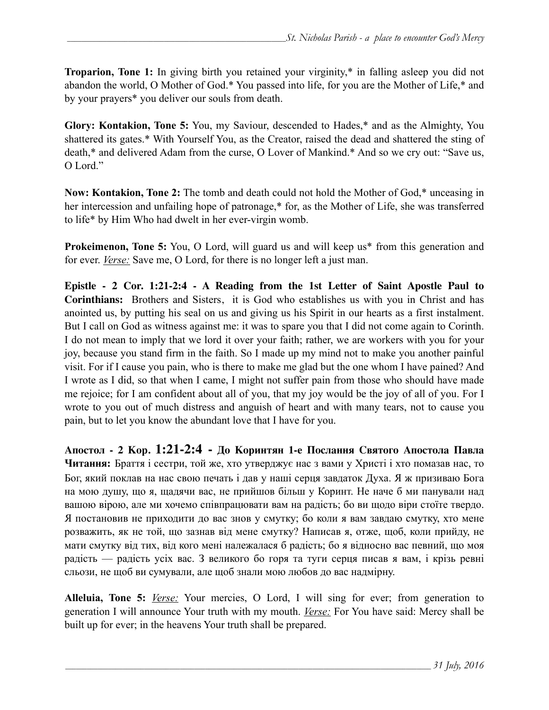**Troparion, Tone 1:** In giving birth you retained your virginity,\* in falling asleep you did not abandon the world, O Mother of God.\* You passed into life, for you are the Mother of Life,\* and by your prayers\* you deliver our souls from death.

**Glory: Kontakion, Tone 5:** You, my Saviour, descended to Hades,\* and as the Almighty, You shattered its gates.\* With Yourself You, as the Creator, raised the dead and shattered the sting of death,\* and delivered Adam from the curse, O Lover of Mankind.\* And so we cry out: "Save us, O Lord."

**Now: Kontakion, Tone 2:** The tomb and death could not hold the Mother of God,\* unceasing in her intercession and unfailing hope of patronage,\* for, as the Mother of Life, she was transferred to life\* by Him Who had dwelt in her ever-virgin womb.

**Prokeimenon, Tone 5:** You, O Lord, will guard us and will keep us<sup>\*</sup> from this generation and for ever. *Verse:* Save me, O Lord, for there is no longer left a just man.

**Epistle - 2 Cor. 1:21-2:4 - A Reading from the 1st Letter of Saint Apostle Paul to Corinthians:** Brothers and Sisters, it is God who establishes us with you in Christ and has anointed us, by putting his seal on us and giving us his Spirit in our hearts as a first instalment. But I call on God as witness against me: it was to spare you that I did not come again to Corinth. I do not mean to imply that we lord it over your faith; rather, we are workers with you for your joy, because you stand firm in the faith. So I made up my mind not to make you another painful visit. For if I cause you pain, who is there to make me glad but the one whom I have pained? And I wrote as I did, so that when I came, I might not suffer pain from those who should have made me rejoice; for I am confident about all of you, that my joy would be the joy of all of you. For I wrote to you out of much distress and anguish of heart and with many tears, not to cause you pain, but to let you know the abundant love that I have for you.

**Апостол - 2 Кор. 1:21-2:4 - До Коринтян 1-e Послання Святого Апостола Павла Читання:** Браття і сестри, той же, хто утверджує нас з вами у Христі і хто помазав нас, то Бог, який поклав на нас свою печать і дав у наші серця завдаток Духа. Я ж призиваю Бога на мою душу, що я, щадячи вас, не прийшов більш у Коринт. Не наче б ми панували над вашою вірою, але ми хочемо співпрацювати вам на радість; бо ви щодо віри стоїте твердо. Я постановив не приходити до вас знов у смутку; бо коли я вам завдаю смутку, хто мене розважить, як не той, що зазнав від мене смутку? Написав я, отже, щоб, коли прийду, не мати смутку від тих, від кого мені належалася б радість; бо я відносно вас певний, що моя радість — радість усіх вас. З великого бо горя та туги серця писав я вам, і крізь ревні сльози, не щоб ви сумували, але щоб знали мою любов до вас надмірну.

**Alleluia, Tone 5:** *Verse:* Your mercies, O Lord, I will sing for ever; from generation to generation I will announce Your truth with my mouth. *Verse:* For You have said: Mercy shall be built up for ever; in the heavens Your truth shall be prepared.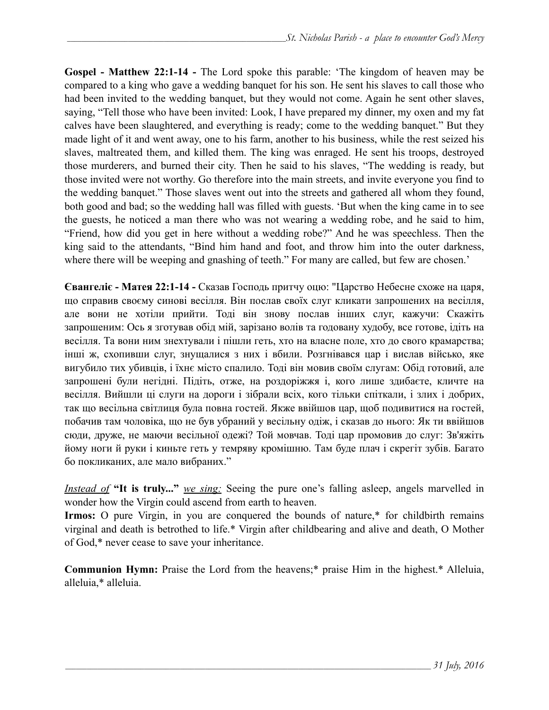**Gospel - Matthew 22:1-14 -** The Lord spoke this parable: 'The kingdom of heaven may be compared to a king who gave a wedding banquet for his son. He sent his slaves to call those who had been invited to the wedding banquet, but they would not come. Again he sent other slaves, saying, "Tell those who have been invited: Look, I have prepared my dinner, my oxen and my fat calves have been slaughtered, and everything is ready; come to the wedding banquet." But they made light of it and went away, one to his farm, another to his business, while the rest seized his slaves, maltreated them, and killed them. The king was enraged. He sent his troops, destroyed those murderers, and burned their city. Then he said to his slaves, "The wedding is ready, but those invited were not worthy. Go therefore into the main streets, and invite everyone you find to the wedding banquet." Those slaves went out into the streets and gathered all whom they found, both good and bad; so the wedding hall was filled with guests. 'But when the king came in to see the guests, he noticed a man there who was not wearing a wedding robe, and he said to him, "Friend, how did you get in here without a wedding robe?" And he was speechless. Then the king said to the attendants, "Bind him hand and foot, and throw him into the outer darkness, where there will be weeping and gnashing of teeth." For many are called, but few are chosen.'

**Євангеліє - Матея 22:1-14 -** Сказав Господь притчу оцю: "Царство Небесне схоже на царя, що справив своєму синові весілля. Він послав своїх слуг кликати запрошених на весілля, але вони не хотіли прийти. Тоді він знову послав інших слуг, кажучи: Скажіть запрошеним: Ось я зготував обід мій, зарізано волів та годовану худобу, все готове, ідіть на весілля. Та вони ним знехтували і пішли геть, хто на власне поле, хто до свого крамарства; інші ж, схопивши слуг, знущалися з них і вбили. Розгнівався цар і вислав військо, яке вигубило тих убивців, і їхнє місто спалило. Тоді він мовив своїм слугам: Обід готовий, але запрошені були негідні. Підіть, отже, на роздоріжжя і, кого лише здибаєте, кличте на весілля. Вийшли ці слуги на дороги і зібрали всіх, кого тільки спіткали, і злих і добрих, так що весільна світлиця була повна гостей. Якже ввійшов цар, щоб подивитися на гостей, побачив там чоловіка, що не був убраний у весільну одіж, і сказав до нього: Як ти ввійшов сюди, друже, не маючи весільної одежі? Той мовчав. Тоді цар промовив до слуг: Зв'яжіть йому ноги й руки і киньте геть у темряву кромішню. Там буде плач і скрегіт зубів. Багато бо покликаних, але мало вибраних."

*Instead of* **"It is truly..."** *we sing:* Seeing the pure one's falling asleep, angels marvelled in wonder how the Virgin could ascend from earth to heaven.

**Irmos:** O pure Virgin, in you are conquered the bounds of nature,\* for childbirth remains virginal and death is betrothed to life.\* Virgin after childbearing and alive and death, O Mother of God,\* never cease to save your inheritance.

**Communion Hymn:** Praise the Lord from the heavens;\* praise Him in the highest.\* Alleluia, alleluia,\* alleluia.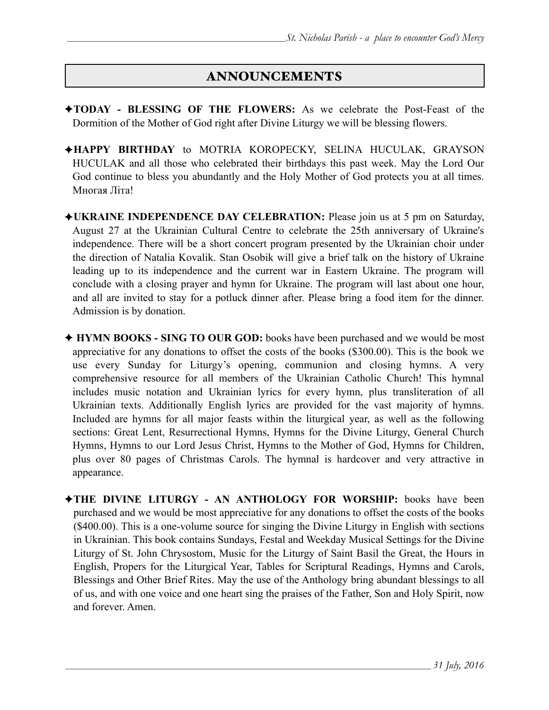# ANNOUNCEMENTS

- ✦**TODAY BLESSING OF THE FLOWERS:** As we celebrate the Post-Feast of the Dormition of the Mother of God right after Divine Liturgy we will be blessing flowers.
- ✦**HAPPY BIRTHDAY** to MOTRIA KOROPECKY, SELINA HUCULAK, GRAYSON HUCULAK and all those who celebrated their birthdays this past week. May the Lord Our God continue to bless you abundantly and the Holy Mother of God protects you at all times. Многая Літа!
- ✦**UKRAINE INDEPENDENCE DAY CELEBRATION:** Please join us at 5 pm on Saturday, August 27 at the Ukrainian Cultural Centre to celebrate the 25th anniversary of Ukraine's independence. There will be a short concert program presented by the Ukrainian choir under the direction of Natalia Kovalik. Stan Osobik will give a brief talk on the history of Ukraine leading up to its independence and the current war in Eastern Ukraine. The program will conclude with a closing prayer and hymn for Ukraine. The program will last about one hour, and all are invited to stay for a potluck dinner after. Please bring a food item for the dinner. Admission is by donation.
- ✦ **HYMN BOOKS SING TO OUR GOD:** books have been purchased and we would be most appreciative for any donations to offset the costs of the books (\$300.00). This is the book we use every Sunday for Liturgy's opening, communion and closing hymns. A very comprehensive resource for all members of the Ukrainian Catholic Church! This hymnal includes music notation and Ukrainian lyrics for every hymn, plus transliteration of all Ukrainian texts. Additionally English lyrics are provided for the vast majority of hymns. Included are hymns for all major feasts within the liturgical year, as well as the following sections: Great Lent, Resurrectional Hymns, Hymns for the Divine Liturgy, General Church Hymns, Hymns to our Lord Jesus Christ, Hymns to the Mother of God, Hymns for Children, plus over 80 pages of Christmas Carols. The hymnal is hardcover and very attractive in appearance.
- ✦**THE DIVINE LITURGY AN ANTHOLOGY FOR WORSHIP:** books have been purchased and we would be most appreciative for any donations to offset the costs of the books (\$400.00). This is a one-volume source for singing the Divine Liturgy in English with sections in Ukrainian. This book contains Sundays, Festal and Weekday Musical Settings for the Divine Liturgy of St. John Chrysostom, Music for the Liturgy of Saint Basil the Great, the Hours in English, Propers for the Liturgical Year, Tables for Scriptural Readings, Hymns and Carols, Blessings and Other Brief Rites. May the use of the Anthology bring abundant blessings to all of us, and with one voice and one heart sing the praises of the Father, Son and Holy Spirit, now and forever. Amen.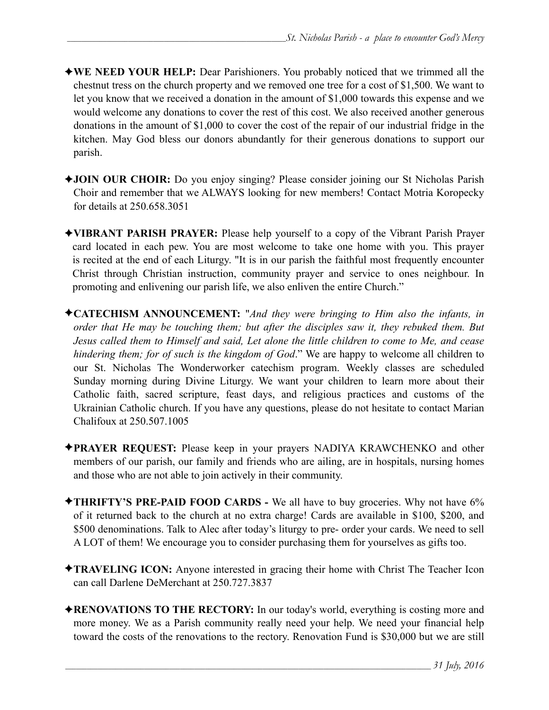- ✦**WE NEED YOUR HELP:** Dear Parishioners. You probably noticed that we trimmed all the chestnut tress on the church property and we removed one tree for a cost of \$1,500. We want to let you know that we received a donation in the amount of \$1,000 towards this expense and we would welcome any donations to cover the rest of this cost. We also received another generous donations in the amount of \$1,000 to cover the cost of the repair of our industrial fridge in the kitchen. May God bless our donors abundantly for their generous donations to support our parish.
- ✦**JOIN OUR CHOIR:** Do you enjoy singing? Please consider joining our St Nicholas Parish Choir and remember that we ALWAYS looking for new members! Contact Motria Koropecky for details at 250.658.3051
- ✦**VIBRANT PARISH PRAYER:** Please help yourself to a copy of the Vibrant Parish Prayer card located in each pew. You are most welcome to take one home with you. This prayer is recited at the end of each Liturgy. "It is in our parish the faithful most frequently encounter Christ through Christian instruction, community prayer and service to ones neighbour. In promoting and enlivening our parish life, we also enliven the entire Church."
- ✦**CATECHISM ANNOUNCEMENT:** "*And they were bringing to Him also the infants, in order that He may be touching them; but after the disciples saw it, they rebuked them. But Jesus called them to Himself and said, Let alone the little children to come to Me, and cease hindering them; for of such is the kingdom of God*." We are happy to welcome all children to our St. Nicholas The Wonderworker catechism program. Weekly classes are scheduled Sunday morning during Divine Liturgy. We want your children to learn more about their Catholic faith, sacred scripture, feast days, and religious practices and customs of the Ukrainian Catholic church. If you have any questions, please do not hesitate to contact Marian Chalifoux at 250.507.1005
- ✦**PRAYER REQUEST:** Please keep in your prayers NADIYA KRAWCHENKO and other members of our parish, our family and friends who are ailing, are in hospitals, nursing homes and those who are not able to join actively in their community.
- ✦**THRIFTY'S PRE-PAID FOOD CARDS** We all have to buy groceries. Why not have 6% of it returned back to the church at no extra charge! Cards are available in \$100, \$200, and \$500 denominations. Talk to Alec after today's liturgy to pre- order your cards. We need to sell A LOT of them! We encourage you to consider purchasing them for yourselves as gifts too.
- ✦**TRAVELING ICON:** Anyone interested in gracing their home with Christ The Teacher Icon can call Darlene DeMerchant at 250.727.3837
- ✦**RENOVATIONS TO THE RECTORY:** In our today's world, everything is costing more and more money. We as a Parish community really need your help. We need your financial help toward the costs of the renovations to the rectory. Renovation Fund is \$30,000 but we are still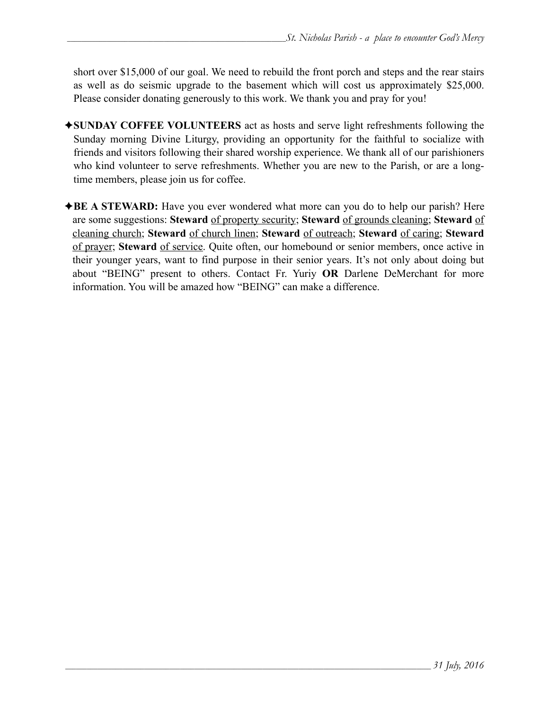short over \$15,000 of our goal. We need to rebuild the front porch and steps and the rear stairs as well as do seismic upgrade to the basement which will cost us approximately \$25,000. Please consider donating generously to this work. We thank you and pray for you!

- ✦**SUNDAY COFFEE VOLUNTEERS** act as hosts and serve light refreshments following the Sunday morning Divine Liturgy, providing an opportunity for the faithful to socialize with friends and visitors following their shared worship experience. We thank all of our parishioners who kind volunteer to serve refreshments. Whether you are new to the Parish, or are a longtime members, please join us for coffee.
- ✦**BE A STEWARD:** Have you ever wondered what more can you do to help our parish? Here are some suggestions: **Steward** of property security; **Steward** of grounds cleaning; **Steward** of cleaning church; **Steward** of church linen; **Steward** of outreach; **Steward** of caring; **Steward** of prayer; **Steward** of service. Quite often, our homebound or senior members, once active in their younger years, want to find purpose in their senior years. It's not only about doing but about "BEING" present to others. Contact Fr. Yuriy **OR** Darlene DeMerchant for more information. You will be amazed how "BEING" can make a difference.